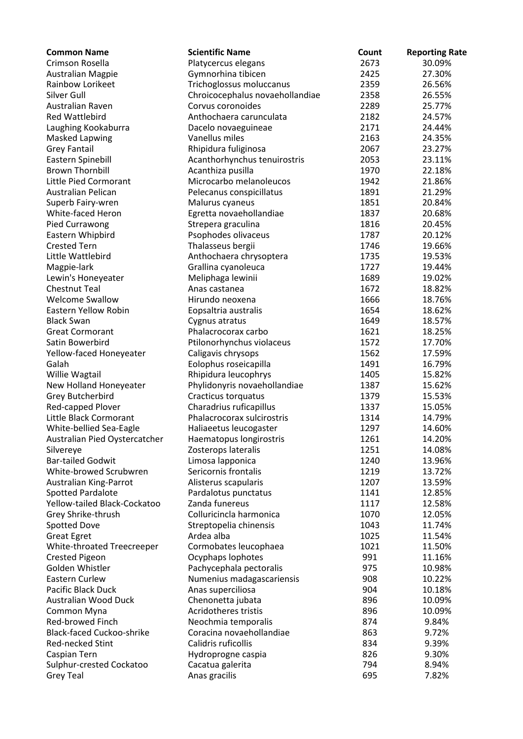| <b>Common Name</b>               | <b>Scientific Name</b>          | Count | <b>Reporting Rate</b> |
|----------------------------------|---------------------------------|-------|-----------------------|
| Crimson Rosella                  | Platycercus elegans             | 2673  | 30.09%                |
| <b>Australian Magpie</b>         | Gymnorhina tibicen              | 2425  | 27.30%                |
| Rainbow Lorikeet                 | Trichoglossus moluccanus        | 2359  | 26.56%                |
| Silver Gull                      | Chroicocephalus novaehollandiae | 2358  | 26.55%                |
| Australian Raven                 | Corvus coronoides               | 2289  | 25.77%                |
| <b>Red Wattlebird</b>            | Anthochaera carunculata         | 2182  | 24.57%                |
| Laughing Kookaburra              | Dacelo novaeguineae             | 2171  | 24.44%                |
| <b>Masked Lapwing</b>            | Vanellus miles                  | 2163  | 24.35%                |
| <b>Grey Fantail</b>              | Rhipidura fuliginosa            | 2067  | 23.27%                |
| Eastern Spinebill                | Acanthorhynchus tenuirostris    | 2053  | 23.11%                |
| <b>Brown Thornbill</b>           | Acanthiza pusilla               | 1970  | 22.18%                |
| Little Pied Cormorant            | Microcarbo melanoleucos         | 1942  | 21.86%                |
| Australian Pelican               | Pelecanus conspicillatus        | 1891  | 21.29%                |
| Superb Fairy-wren                | Malurus cyaneus                 | 1851  | 20.84%                |
| White-faced Heron                | Egretta novaehollandiae         | 1837  | 20.68%                |
| Pied Currawong                   | Strepera graculina              | 1816  | 20.45%                |
| Eastern Whipbird                 | Psophodes olivaceus             | 1787  | 20.12%                |
| <b>Crested Tern</b>              | Thalasseus bergii               | 1746  | 19.66%                |
| Little Wattlebird                | Anthochaera chrysoptera         | 1735  | 19.53%                |
| Magpie-lark                      | Grallina cyanoleuca             | 1727  | 19.44%                |
| Lewin's Honeyeater               | Meliphaga lewinii               | 1689  | 19.02%                |
| <b>Chestnut Teal</b>             | Anas castanea                   | 1672  | 18.82%                |
| <b>Welcome Swallow</b>           | Hirundo neoxena                 | 1666  | 18.76%                |
| <b>Eastern Yellow Robin</b>      | Eopsaltria australis            | 1654  | 18.62%                |
| <b>Black Swan</b>                | Cygnus atratus                  | 1649  | 18.57%                |
| <b>Great Cormorant</b>           | Phalacrocorax carbo             | 1621  | 18.25%                |
| Satin Bowerbird                  | Ptilonorhynchus violaceus       | 1572  | 17.70%                |
| Yellow-faced Honeyeater          | Caligavis chrysops              | 1562  | 17.59%                |
| Galah                            | Eolophus roseicapilla           | 1491  | 16.79%                |
| Willie Wagtail                   | Rhipidura leucophrys            | 1405  | 15.82%                |
| New Holland Honeyeater           | Phylidonyris novaehollandiae    | 1387  | 15.62%                |
| <b>Grey Butcherbird</b>          | Cracticus torquatus             | 1379  | 15.53%                |
| Red-capped Plover                | Charadrius ruficapillus         | 1337  | 15.05%                |
| Little Black Cormorant           | Phalacrocorax sulcirostris      | 1314  | 14.79%                |
| White-bellied Sea-Eagle          | Haliaeetus leucogaster          | 1297  | 14.60%                |
| Australian Pied Oystercatcher    | Haematopus longirostris         | 1261  | 14.20%                |
| Silvereye                        | Zosterops lateralis             | 1251  | 14.08%                |
| <b>Bar-tailed Godwit</b>         | Limosa lapponica                | 1240  | 13.96%                |
| White-browed Scrubwren           | Sericornis frontalis            | 1219  | 13.72%                |
| <b>Australian King-Parrot</b>    | Alisterus scapularis            | 1207  | 13.59%                |
| <b>Spotted Pardalote</b>         | Pardalotus punctatus            | 1141  | 12.85%                |
| Yellow-tailed Black-Cockatoo     | Zanda funereus                  | 1117  | 12.58%                |
| Grey Shrike-thrush               | Colluricincla harmonica         | 1070  | 12.05%                |
| Spotted Dove                     | Streptopelia chinensis          | 1043  | 11.74%                |
| <b>Great Egret</b>               | Ardea alba                      | 1025  | 11.54%                |
| White-throated Treecreeper       | Cormobates leucophaea           | 1021  | 11.50%                |
| Crested Pigeon                   | Ocyphaps lophotes               | 991   | 11.16%                |
| Golden Whistler                  | Pachycephala pectoralis         | 975   | 10.98%                |
| Eastern Curlew                   | Numenius madagascariensis       | 908   | 10.22%                |
| Pacific Black Duck               | Anas superciliosa               | 904   | 10.18%                |
| <b>Australian Wood Duck</b>      | Chenonetta jubata               | 896   | 10.09%                |
| Common Myna                      | Acridotheres tristis            | 896   | 10.09%                |
| Red-browed Finch                 | Neochmia temporalis             | 874   | 9.84%                 |
| <b>Black-faced Cuckoo-shrike</b> | Coracina novaehollandiae        | 863   | 9.72%                 |
| Red-necked Stint                 | Calidris ruficollis             | 834   | 9.39%                 |
| Caspian Tern                     | Hydroprogne caspia              | 826   | 9.30%                 |
| Sulphur-crested Cockatoo         | Cacatua galerita                | 794   | 8.94%                 |
| <b>Grey Teal</b>                 | Anas gracilis                   | 695   | 7.82%                 |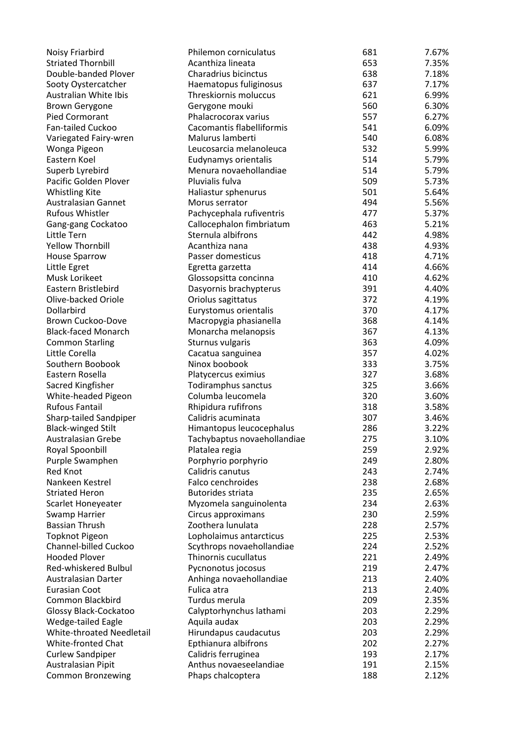| Noisy Friarbird               | Philemon corniculatus       | 681 | 7.67% |
|-------------------------------|-----------------------------|-----|-------|
| <b>Striated Thornbill</b>     | Acanthiza lineata           | 653 | 7.35% |
| Double-banded Plover          | Charadrius bicinctus        | 638 | 7.18% |
| Sooty Oystercatcher           | Haematopus fuliginosus      | 637 | 7.17% |
| Australian White Ibis         | Threskiornis moluccus       | 621 | 6.99% |
| <b>Brown Gerygone</b>         | Gerygone mouki              | 560 | 6.30% |
| Pied Cormorant                | Phalacrocorax varius        | 557 | 6.27% |
| Fan-tailed Cuckoo             | Cacomantis flabelliformis   | 541 | 6.09% |
| Variegated Fairy-wren         | Malurus lamberti            | 540 | 6.08% |
| Wonga Pigeon                  | Leucosarcia melanoleuca     | 532 | 5.99% |
| Eastern Koel                  | Eudynamys orientalis        | 514 | 5.79% |
| Superb Lyrebird               | Menura novaehollandiae      | 514 | 5.79% |
|                               | Pluvialis fulva             |     |       |
| Pacific Golden Plover         |                             | 509 | 5.73% |
| <b>Whistling Kite</b>         | Haliastur sphenurus         | 501 | 5.64% |
| <b>Australasian Gannet</b>    | Morus serrator              | 494 | 5.56% |
| <b>Rufous Whistler</b>        | Pachycephala rufiventris    | 477 | 5.37% |
| Gang-gang Cockatoo            | Callocephalon fimbriatum    | 463 | 5.21% |
| Little Tern                   | Sternula albifrons          | 442 | 4.98% |
| <b>Yellow Thornbill</b>       | Acanthiza nana              | 438 | 4.93% |
| <b>House Sparrow</b>          | Passer domesticus           | 418 | 4.71% |
| Little Egret                  | Egretta garzetta            | 414 | 4.66% |
| Musk Lorikeet                 | Glossopsitta concinna       | 410 | 4.62% |
| Eastern Bristlebird           | Dasyornis brachypterus      | 391 | 4.40% |
| Olive-backed Oriole           | Oriolus sagittatus          | 372 | 4.19% |
| Dollarbird                    | Eurystomus orientalis       | 370 | 4.17% |
| Brown Cuckoo-Dove             | Macropygia phasianella      | 368 | 4.14% |
| <b>Black-faced Monarch</b>    | Monarcha melanopsis         | 367 | 4.13% |
| <b>Common Starling</b>        | Sturnus vulgaris            | 363 | 4.09% |
| Little Corella                | Cacatua sanguinea           | 357 | 4.02% |
| Southern Boobook              | Ninox boobook               | 333 | 3.75% |
| Eastern Rosella               | Platycercus eximius         | 327 | 3.68% |
| Sacred Kingfisher             | Todiramphus sanctus         | 325 | 3.66% |
| White-headed Pigeon           | Columba leucomela           | 320 | 3.60% |
| <b>Rufous Fantail</b>         | Rhipidura rufifrons         | 318 | 3.58% |
| <b>Sharp-tailed Sandpiper</b> | Calidris acuminata          | 307 | 3.46% |
| <b>Black-winged Stilt</b>     | Himantopus leucocephalus    | 286 | 3.22% |
|                               |                             | 275 | 3.10% |
| <b>Australasian Grebe</b>     | Tachybaptus novaehollandiae |     |       |
| Royal Spoonbill               | Platalea regia              | 259 | 2.92% |
| Purple Swamphen               | Porphyrio porphyrio         | 249 | 2.80% |
| <b>Red Knot</b>               | Calidris canutus            | 243 | 2.74% |
| Nankeen Kestrel               | Falco cenchroides           | 238 | 2.68% |
| <b>Striated Heron</b>         | <b>Butorides striata</b>    | 235 | 2.65% |
| Scarlet Honeyeater            | Myzomela sanguinolenta      | 234 | 2.63% |
| Swamp Harrier                 | Circus approximans          | 230 | 2.59% |
| <b>Bassian Thrush</b>         | Zoothera lunulata           | 228 | 2.57% |
| <b>Topknot Pigeon</b>         | Lopholaimus antarcticus     | 225 | 2.53% |
| Channel-billed Cuckoo         | Scythrops novaehollandiae   | 224 | 2.52% |
| <b>Hooded Plover</b>          | Thinornis cucullatus        | 221 | 2.49% |
| Red-whiskered Bulbul          | Pycnonotus jocosus          | 219 | 2.47% |
| Australasian Darter           | Anhinga novaehollandiae     | 213 | 2.40% |
| <b>Eurasian Coot</b>          | Fulica atra                 | 213 | 2.40% |
| Common Blackbird              | Turdus merula               | 209 | 2.35% |
| Glossy Black-Cockatoo         | Calyptorhynchus lathami     | 203 | 2.29% |
| Wedge-tailed Eagle            | Aquila audax                | 203 | 2.29% |
| White-throated Needletail     | Hirundapus caudacutus       | 203 | 2.29% |
| White-fronted Chat            | Epthianura albifrons        | 202 | 2.27% |
| <b>Curlew Sandpiper</b>       | Calidris ferruginea         | 193 | 2.17% |
| Australasian Pipit            | Anthus novaeseelandiae      | 191 | 2.15% |
| <b>Common Bronzewing</b>      | Phaps chalcoptera           | 188 | 2.12% |
|                               |                             |     |       |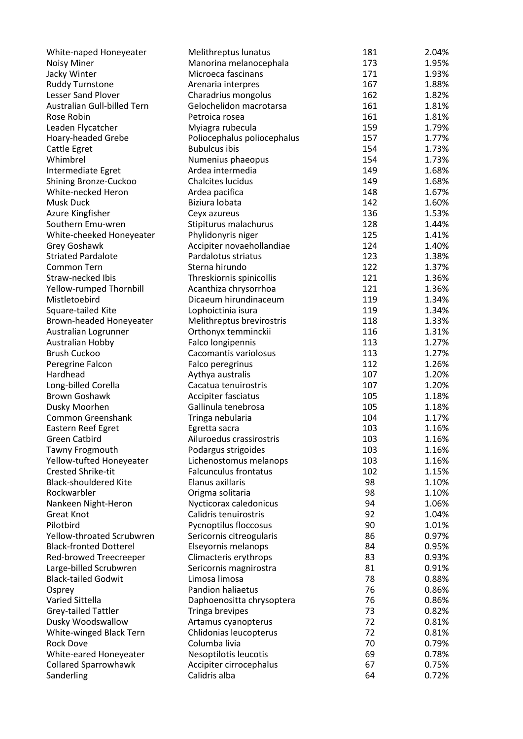| White-naped Honeyeater        | Melithreptus lunatus         | 181 | 2.04% |
|-------------------------------|------------------------------|-----|-------|
| <b>Noisy Miner</b>            | Manorina melanocephala       | 173 | 1.95% |
| Jacky Winter                  | Microeca fascinans           | 171 | 1.93% |
| <b>Ruddy Turnstone</b>        | Arenaria interpres           | 167 | 1.88% |
| <b>Lesser Sand Plover</b>     | Charadrius mongolus          | 162 | 1.82% |
| Australian Gull-billed Tern   | Gelochelidon macrotarsa      | 161 | 1.81% |
| Rose Robin                    | Petroica rosea               | 161 | 1.81% |
| Leaden Flycatcher             | Myiagra rubecula             | 159 | 1.79% |
| Hoary-headed Grebe            | Poliocephalus poliocephalus  | 157 | 1.77% |
| Cattle Egret                  | <b>Bubulcus ibis</b>         | 154 | 1.73% |
| Whimbrel                      | Numenius phaeopus            | 154 | 1.73% |
| Intermediate Egret            | Ardea intermedia             | 149 | 1.68% |
| Shining Bronze-Cuckoo         | <b>Chalcites lucidus</b>     | 149 | 1.68% |
| White-necked Heron            | Ardea pacifica               | 148 | 1.67% |
| <b>Musk Duck</b>              | Biziura lobata               | 142 | 1.60% |
| Azure Kingfisher              | Ceyx azureus                 | 136 | 1.53% |
| Southern Emu-wren             | Stipiturus malachurus        | 128 | 1.44% |
| White-cheeked Honeyeater      | Phylidonyris niger           | 125 | 1.41% |
| Grey Goshawk                  | Accipiter novaehollandiae    | 124 | 1.40% |
| <b>Striated Pardalote</b>     | Pardalotus striatus          | 123 | 1.38% |
| Common Tern                   | Sterna hirundo               | 122 | 1.37% |
| Straw-necked Ibis             | Threskiornis spinicollis     | 121 | 1.36% |
| Yellow-rumped Thornbill       | Acanthiza chrysorrhoa        | 121 | 1.36% |
| Mistletoebird                 | Dicaeum hirundinaceum        | 119 | 1.34% |
| Square-tailed Kite            | Lophoictinia isura           | 119 | 1.34% |
| Brown-headed Honeyeater       | Melithreptus brevirostris    | 118 | 1.33% |
| Australian Logrunner          | Orthonyx temminckii          | 116 | 1.31% |
| Australian Hobby              | Falco longipennis            | 113 | 1.27% |
| <b>Brush Cuckoo</b>           | Cacomantis variolosus        | 113 | 1.27% |
| Peregrine Falcon              | Falco peregrinus             | 112 | 1.26% |
| Hardhead                      | Aythya australis             | 107 | 1.20% |
| Long-billed Corella           | Cacatua tenuirostris         | 107 | 1.20% |
| <b>Brown Goshawk</b>          | Accipiter fasciatus          | 105 | 1.18% |
| Dusky Moorhen                 | Gallinula tenebrosa          | 105 | 1.18% |
| Common Greenshank             | Tringa nebularia             | 104 | 1.17% |
| Eastern Reef Egret            | Egretta sacra                | 103 | 1.16% |
| <b>Green Catbird</b>          | Ailuroedus crassirostris     | 103 | 1.16% |
| Tawny Frogmouth               | Podargus strigoides          | 103 | 1.16% |
| Yellow-tufted Honeyeater      | Lichenostomus melanops       | 103 | 1.16% |
| <b>Crested Shrike-tit</b>     | <b>Falcunculus frontatus</b> | 102 | 1.15% |
| <b>Black-shouldered Kite</b>  | Elanus axillaris             | 98  | 1.10% |
| Rockwarbler                   | Origma solitaria             | 98  | 1.10% |
| Nankeen Night-Heron           | Nycticorax caledonicus       | 94  | 1.06% |
| <b>Great Knot</b>             | Calidris tenuirostris        | 92  | 1.04% |
| Pilotbird                     | Pycnoptilus floccosus        | 90  | 1.01% |
| Yellow-throated Scrubwren     | Sericornis citreogularis     | 86  | 0.97% |
| <b>Black-fronted Dotterel</b> | Elseyornis melanops          | 84  | 0.95% |
| Red-browed Treecreeper        | Climacteris erythrops        | 83  | 0.93% |
| Large-billed Scrubwren        | Sericornis magnirostra       | 81  | 0.91% |
| <b>Black-tailed Godwit</b>    | Limosa limosa                | 78  | 0.88% |
| Osprey                        | <b>Pandion haliaetus</b>     | 76  | 0.86% |
| Varied Sittella               | Daphoenositta chrysoptera    | 76  | 0.86% |
| Grey-tailed Tattler           | Tringa brevipes              | 73  | 0.82% |
| Dusky Woodswallow             | Artamus cyanopterus          | 72  | 0.81% |
| White-winged Black Tern       | Chlidonias leucopterus       | 72  | 0.81% |
| <b>Rock Dove</b>              | Columba livia                | 70  | 0.79% |
| White-eared Honeyeater        | Nesoptilotis leucotis        | 69  | 0.78% |
| <b>Collared Sparrowhawk</b>   | Accipiter cirrocephalus      | 67  | 0.75% |
| Sanderling                    | Calidris alba                | 64  | 0.72% |
|                               |                              |     |       |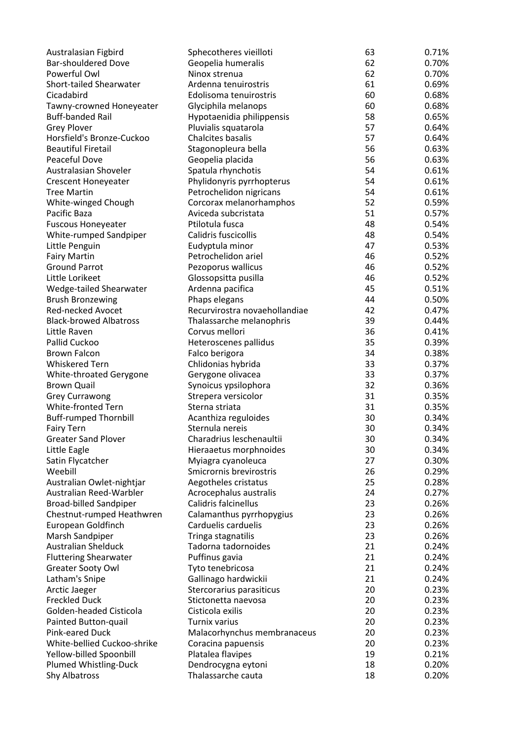| Australasian Figbird          | Sphecotheres vieilloti        | 63       | 0.71% |
|-------------------------------|-------------------------------|----------|-------|
| <b>Bar-shouldered Dove</b>    | Geopelia humeralis            | 62       | 0.70% |
| Powerful Owl                  | Ninox strenua                 | 62       | 0.70% |
| Short-tailed Shearwater       | Ardenna tenuirostris          | 61       | 0.69% |
| Cicadabird                    | Edolisoma tenuirostris        | 60       | 0.68% |
| Tawny-crowned Honeyeater      | Glyciphila melanops           | 60       | 0.68% |
| <b>Buff-banded Rail</b>       | Hypotaenidia philippensis     | 58       | 0.65% |
| <b>Grey Plover</b>            | Pluvialis squatarola          | 57       | 0.64% |
| Horsfield's Bronze-Cuckoo     | <b>Chalcites basalis</b>      | 57       | 0.64% |
| <b>Beautiful Firetail</b>     | Stagonopleura bella           | 56       | 0.63% |
| Peaceful Dove                 | Geopelia placida              | 56       | 0.63% |
| Australasian Shoveler         | Spatula rhynchotis            | 54       | 0.61% |
| <b>Crescent Honeyeater</b>    | Phylidonyris pyrrhopterus     | 54       | 0.61% |
| <b>Tree Martin</b>            | Petrochelidon nigricans       | 54       | 0.61% |
| White-winged Chough           | Corcorax melanorhamphos       | 52       | 0.59% |
| Pacific Baza                  | Aviceda subcristata           | 51       | 0.57% |
| <b>Fuscous Honeyeater</b>     | Ptilotula fusca               | 48       | 0.54% |
| <b>White-rumped Sandpiper</b> | Calidris fuscicollis          | 48       | 0.54% |
| Little Penguin                | Eudyptula minor               | 47       | 0.53% |
| <b>Fairy Martin</b>           | Petrochelidon ariel           | 46       | 0.52% |
| <b>Ground Parrot</b>          | Pezoporus wallicus            | 46       | 0.52% |
| Little Lorikeet               | Glossopsitta pusilla          | 46       | 0.52% |
| Wedge-tailed Shearwater       | Ardenna pacifica              | 45       | 0.51% |
| <b>Brush Bronzewing</b>       | Phaps elegans                 | 44       | 0.50% |
| Red-necked Avocet             | Recurvirostra novaehollandiae | 42       | 0.47% |
| <b>Black-browed Albatross</b> | Thalassarche melanophris      | 39       | 0.44% |
| Little Raven                  | Corvus mellori                | 36       | 0.41% |
| Pallid Cuckoo                 | Heteroscenes pallidus         | 35       | 0.39% |
| <b>Brown Falcon</b>           | Falco berigora                | 34       | 0.38% |
| <b>Whiskered Tern</b>         | Chlidonias hybrida            | 33       | 0.37% |
| White-throated Gerygone       | Gerygone olivacea             | 33       | 0.37% |
| <b>Brown Quail</b>            | Synoicus ypsilophora          | 32       | 0.36% |
| <b>Grey Currawong</b>         | Strepera versicolor           | 31       | 0.35% |
| White-fronted Tern            | Sterna striata                | 31       | 0.35% |
| <b>Buff-rumped Thornbill</b>  | Acanthiza reguloides          | 30       | 0.34% |
| <b>Fairy Tern</b>             | Sternula nereis               | 30       | 0.34% |
|                               |                               |          |       |
| <b>Greater Sand Plover</b>    | Charadrius leschenaultii      | 30       | 0.34% |
| Little Eagle                  | Hieraaetus morphnoides        | 30<br>27 | 0.34% |
| Satin Flycatcher              | Myiagra cyanoleuca            |          | 0.30% |
| Weebill                       | Smicrornis brevirostris       | 26       | 0.29% |
| Australian Owlet-nightjar     | Aegotheles cristatus          | 25       | 0.28% |
| Australian Reed-Warbler       | Acrocephalus australis        | 24       | 0.27% |
| <b>Broad-billed Sandpiper</b> | Calidris falcinellus          | 23       | 0.26% |
| Chestnut-rumped Heathwren     | Calamanthus pyrrhopygius      | 23       | 0.26% |
| European Goldfinch            | Carduelis carduelis           | 23       | 0.26% |
| Marsh Sandpiper               | Tringa stagnatilis            | 23       | 0.26% |
| <b>Australian Shelduck</b>    | Tadorna tadornoides           | 21       | 0.24% |
| <b>Fluttering Shearwater</b>  | Puffinus gavia                | 21       | 0.24% |
| <b>Greater Sooty Owl</b>      | Tyto tenebricosa              | 21       | 0.24% |
| Latham's Snipe                | Gallinago hardwickii          | 21       | 0.24% |
| Arctic Jaeger                 | Stercorarius parasiticus      | 20       | 0.23% |
| <b>Freckled Duck</b>          | Stictonetta naevosa           | 20       | 0.23% |
| Golden-headed Cisticola       | Cisticola exilis              | 20       | 0.23% |
| Painted Button-quail          | <b>Turnix varius</b>          | 20       | 0.23% |
| Pink-eared Duck               | Malacorhynchus membranaceus   | 20       | 0.23% |
| White-bellied Cuckoo-shrike   | Coracina papuensis            | 20       | 0.23% |
| Yellow-billed Spoonbill       | Platalea flavipes             | 19       | 0.21% |
| Plumed Whistling-Duck         | Dendrocygna eytoni            | 18       | 0.20% |
| <b>Shy Albatross</b>          | Thalassarche cauta            | 18       | 0.20% |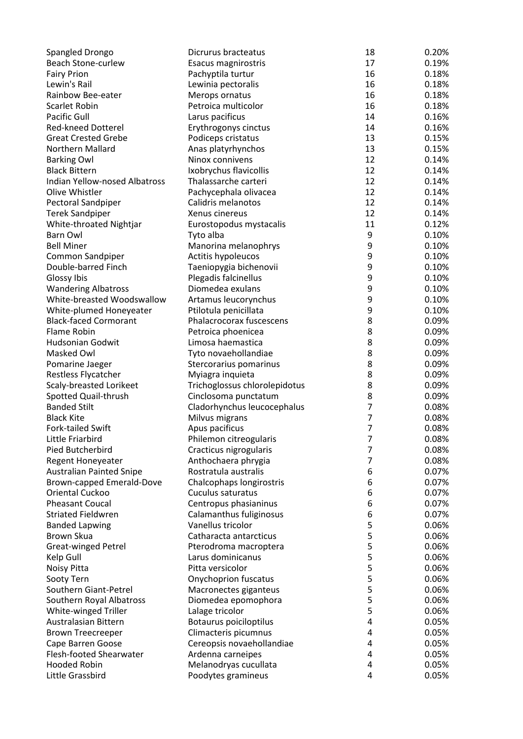| Spangled Drongo                 | Dicrurus bracteatus           | 18             | 0.20% |
|---------------------------------|-------------------------------|----------------|-------|
| Beach Stone-curlew              | Esacus magnirostris           | 17             | 0.19% |
| <b>Fairy Prion</b>              | Pachyptila turtur             | 16             | 0.18% |
| Lewin's Rail                    | Lewinia pectoralis            | 16             | 0.18% |
| Rainbow Bee-eater               | Merops ornatus                | 16             | 0.18% |
| Scarlet Robin                   | Petroica multicolor           | 16             | 0.18% |
| Pacific Gull                    | Larus pacificus               | 14             | 0.16% |
| <b>Red-kneed Dotterel</b>       | Erythrogonys cinctus          | 14             | 0.16% |
| <b>Great Crested Grebe</b>      |                               | 13             | 0.15% |
| Northern Mallard                | Podiceps cristatus            |                |       |
|                                 | Anas platyrhynchos            | 13             | 0.15% |
| <b>Barking Owl</b>              | Ninox connivens               | 12             | 0.14% |
| <b>Black Bittern</b>            | Ixobrychus flavicollis        | 12             | 0.14% |
| Indian Yellow-nosed Albatross   | Thalassarche carteri          | 12             | 0.14% |
| Olive Whistler                  | Pachycephala olivacea         | 12             | 0.14% |
| Pectoral Sandpiper              | Calidris melanotos            | 12             | 0.14% |
| <b>Terek Sandpiper</b>          | Xenus cinereus                | 12             | 0.14% |
| White-throated Nightjar         | Eurostopodus mystacalis       | 11             | 0.12% |
| Barn Owl                        | Tyto alba                     | 9              | 0.10% |
| <b>Bell Miner</b>               | Manorina melanophrys          | 9              | 0.10% |
| Common Sandpiper                | Actitis hypoleucos            | 9              | 0.10% |
| Double-barred Finch             | Taeniopygia bichenovii        | 9              | 0.10% |
| Glossy Ibis                     | Plegadis falcinellus          | 9              | 0.10% |
| <b>Wandering Albatross</b>      | Diomedea exulans              | 9              | 0.10% |
| White-breasted Woodswallow      | Artamus leucorynchus          | 9              | 0.10% |
|                                 |                               |                |       |
| White-plumed Honeyeater         | Ptilotula penicillata         | 9              | 0.10% |
| <b>Black-faced Cormorant</b>    | Phalacrocorax fuscescens      | 8              | 0.09% |
| Flame Robin                     | Petroica phoenicea            | 8              | 0.09% |
| <b>Hudsonian Godwit</b>         | Limosa haemastica             | 8              | 0.09% |
| Masked Owl                      | Tyto novaehollandiae          | 8              | 0.09% |
| Pomarine Jaeger                 | Stercorarius pomarinus        | 8              | 0.09% |
| Restless Flycatcher             | Myiagra inquieta              | 8              | 0.09% |
| Scaly-breasted Lorikeet         | Trichoglossus chlorolepidotus | 8              | 0.09% |
| Spotted Quail-thrush            | Cinclosoma punctatum          | 8              | 0.09% |
| <b>Banded Stilt</b>             | Cladorhynchus leucocephalus   | $\overline{7}$ | 0.08% |
| <b>Black Kite</b>               | Milvus migrans                | $\overline{7}$ | 0.08% |
| Fork-tailed Swift               | Apus pacificus                | $\overline{7}$ | 0.08% |
| Little Friarbird                | Philemon citreogularis        | 7              | 0.08% |
| Pied Butcherbird                | Cracticus nigrogularis        | 7              | 0.08% |
| <b>Regent Honeyeater</b>        | Anthochaera phrygia           | $\overline{7}$ | 0.08% |
| <b>Australian Painted Snipe</b> | Rostratula australis          | 6              | 0.07% |
| Brown-capped Emerald-Dove       | Chalcophaps longirostris      | 6              | 0.07% |
|                                 |                               |                |       |
| Oriental Cuckoo                 | Cuculus saturatus             | 6              | 0.07% |
| <b>Pheasant Coucal</b>          | Centropus phasianinus         | 6              | 0.07% |
| <b>Striated Fieldwren</b>       | Calamanthus fuliginosus       | 6              | 0.07% |
| <b>Banded Lapwing</b>           | Vanellus tricolor             | 5              | 0.06% |
| Brown Skua                      | Catharacta antarcticus        | 5              | 0.06% |
| <b>Great-winged Petrel</b>      | Pterodroma macroptera         | 5              | 0.06% |
| Kelp Gull                       | Larus dominicanus             | 5              | 0.06% |
| Noisy Pitta                     | Pitta versicolor              | 5              | 0.06% |
| Sooty Tern                      | <b>Onychoprion fuscatus</b>   | 5              | 0.06% |
| Southern Giant-Petrel           | Macronectes giganteus         | 5              | 0.06% |
| Southern Royal Albatross        | Diomedea epomophora           | 5              | 0.06% |
| White-winged Triller            | Lalage tricolor               | 5              | 0.06% |
| Australasian Bittern            | Botaurus poiciloptilus        | 4              | 0.05% |
| <b>Brown Treecreeper</b>        | Climacteris picumnus          | 4              | 0.05% |
| Cape Barren Goose               | Cereopsis novaehollandiae     | 4              | 0.05% |
|                                 |                               | 4              |       |
| <b>Flesh-footed Shearwater</b>  | Ardenna carneipes             |                | 0.05% |
| <b>Hooded Robin</b>             | Melanodryas cucullata         | 4              | 0.05% |
| Little Grassbird                | Poodytes gramineus            | 4              | 0.05% |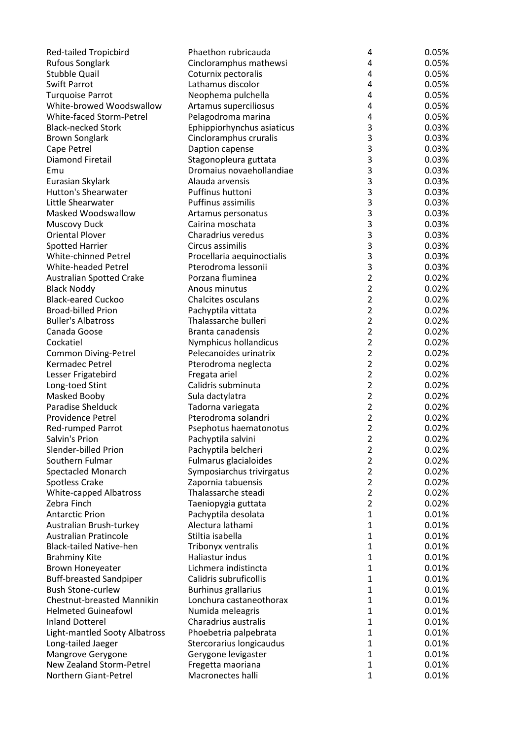| <b>Red-tailed Tropicbird</b>      | Phaethon rubricauda                                   | 4                            | 0.05% |
|-----------------------------------|-------------------------------------------------------|------------------------------|-------|
| <b>Rufous Songlark</b>            | Cincloramphus mathewsi                                | 4                            | 0.05% |
| <b>Stubble Quail</b>              | Coturnix pectoralis                                   | 4                            | 0.05% |
| Swift Parrot                      | Lathamus discolor                                     | 4                            | 0.05% |
| <b>Turquoise Parrot</b>           | Neophema pulchella                                    | 4                            | 0.05% |
| White-browed Woodswallow          | Artamus superciliosus                                 | 4                            | 0.05% |
| White-faced Storm-Petrel          | Pelagodroma marina                                    | 4                            | 0.05% |
| <b>Black-necked Stork</b>         | Ephippiorhynchus asiaticus                            | 3                            | 0.03% |
| <b>Brown Songlark</b>             | Cincloramphus cruralis                                | 3                            | 0.03% |
| Cape Petrel                       | Daption capense                                       | 3                            | 0.03% |
| <b>Diamond Firetail</b>           | Stagonopleura guttata                                 | 3                            | 0.03% |
| Emu                               | Dromaius novaehollandiae                              | $\overline{3}$               | 0.03% |
| Eurasian Skylark                  | Alauda arvensis                                       | 3                            | 0.03% |
| <b>Hutton's Shearwater</b>        | Puffinus huttoni                                      | 3                            | 0.03% |
| Little Shearwater                 | <b>Puffinus assimilis</b>                             | 3                            | 0.03% |
|                                   |                                                       | 3                            |       |
| Masked Woodswallow                | Artamus personatus                                    |                              | 0.03% |
| <b>Muscovy Duck</b>               | Cairina moschata                                      | 3                            | 0.03% |
| <b>Oriental Plover</b>            | Charadrius veredus                                    | 3                            | 0.03% |
| <b>Spotted Harrier</b>            | Circus assimilis                                      | 3                            | 0.03% |
| <b>White-chinned Petrel</b>       | Procellaria aequinoctialis                            | 3                            | 0.03% |
| White-headed Petrel               | Pterodroma lessonii                                   | 3                            | 0.03% |
| <b>Australian Spotted Crake</b>   | Porzana fluminea                                      | $\overline{2}$               | 0.02% |
| <b>Black Noddy</b>                | Anous minutus                                         | $\overline{2}$               | 0.02% |
| <b>Black-eared Cuckoo</b>         | <b>Chalcites osculans</b>                             | $\overline{2}$               | 0.02% |
| <b>Broad-billed Prion</b>         | Pachyptila vittata                                    | $\overline{2}$               | 0.02% |
| <b>Buller's Albatross</b>         | Thalassarche bulleri                                  | $\overline{2}$               | 0.02% |
| Canada Goose                      | Branta canadensis                                     | $\overline{2}$               | 0.02% |
| Cockatiel                         | Nymphicus hollandicus                                 | $\overline{2}$               | 0.02% |
| <b>Common Diving-Petrel</b>       | Pelecanoides urinatrix                                | $\overline{2}$               | 0.02% |
| Kermadec Petrel                   | Pterodroma neglecta                                   | $\overline{2}$               | 0.02% |
| Lesser Frigatebird                | Fregata ariel                                         | $\overline{2}$               | 0.02% |
| Long-toed Stint                   | Calidris subminuta                                    | $\overline{2}$               | 0.02% |
| Masked Booby                      | Sula dactylatra                                       | $\overline{2}$               | 0.02% |
| Paradise Shelduck                 | Tadorna variegata                                     | $\overline{2}$               | 0.02% |
| Providence Petrel                 | Pterodroma solandri                                   | $\overline{2}$               | 0.02% |
| Red-rumped Parrot                 | Psephotus haematonotus                                | $\overline{2}$               | 0.02% |
| Salvin's Prion                    | Pachyptila salvini                                    | $\overline{c}$               | 0.02% |
| Slender-billed Prion              | Pachyptila belcheri                                   | $\overline{2}$               | 0.02% |
| Southern Fulmar                   | Fulmarus glacialoides                                 | $\overline{2}$               | 0.02% |
| <b>Spectacled Monarch</b>         | Symposiarchus trivirgatus                             | $\overline{2}$               | 0.02% |
| Spotless Crake                    | Zapornia tabuensis                                    | $\overline{2}$               | 0.02% |
| White-capped Albatross            | Thalassarche steadi                                   | $\overline{2}$               | 0.02% |
| Zebra Finch                       | Taeniopygia guttata                                   | $\overline{2}$               | 0.02% |
| <b>Antarctic Prion</b>            | Pachyptila desolata                                   | $\mathbf{1}$                 | 0.01% |
| Australian Brush-turkey           | Alectura lathami                                      | $\mathbf{1}$                 | 0.01% |
| <b>Australian Pratincole</b>      | Stiltia isabella                                      | $\mathbf{1}$                 | 0.01% |
| <b>Black-tailed Native-hen</b>    | Tribonyx ventralis                                    | $\mathbf{1}$                 | 0.01% |
| <b>Brahminy Kite</b>              | Haliastur indus                                       | $\mathbf{1}$                 | 0.01% |
| <b>Brown Honeyeater</b>           | Lichmera indistincta                                  | $\mathbf{1}$                 | 0.01% |
| <b>Buff-breasted Sandpiper</b>    | Calidris subruficollis                                | $\mathbf{1}$                 | 0.01% |
| <b>Bush Stone-curlew</b>          |                                                       | $\mathbf{1}$                 | 0.01% |
| <b>Chestnut-breasted Mannikin</b> | <b>Burhinus grallarius</b><br>Lonchura castaneothorax | $\mathbf{1}$                 | 0.01% |
| <b>Helmeted Guineafowl</b>        |                                                       | $\mathbf{1}$                 |       |
|                                   | Numida meleagris                                      |                              | 0.01% |
| <b>Inland Dotterel</b>            | Charadrius australis                                  | $\mathbf{1}$<br>$\mathbf{1}$ | 0.01% |
| Light-mantled Sooty Albatross     | Phoebetria palpebrata                                 |                              | 0.01% |
| Long-tailed Jaeger                | Stercorarius longicaudus                              | $\mathbf{1}$                 | 0.01% |
| Mangrove Gerygone                 | Gerygone levigaster                                   | $\mathbf{1}$                 | 0.01% |
| New Zealand Storm-Petrel          | Fregetta maoriana                                     | $\mathbf{1}$                 | 0.01% |
| Northern Giant-Petrel             | Macronectes halli                                     | $\mathbf{1}$                 | 0.01% |